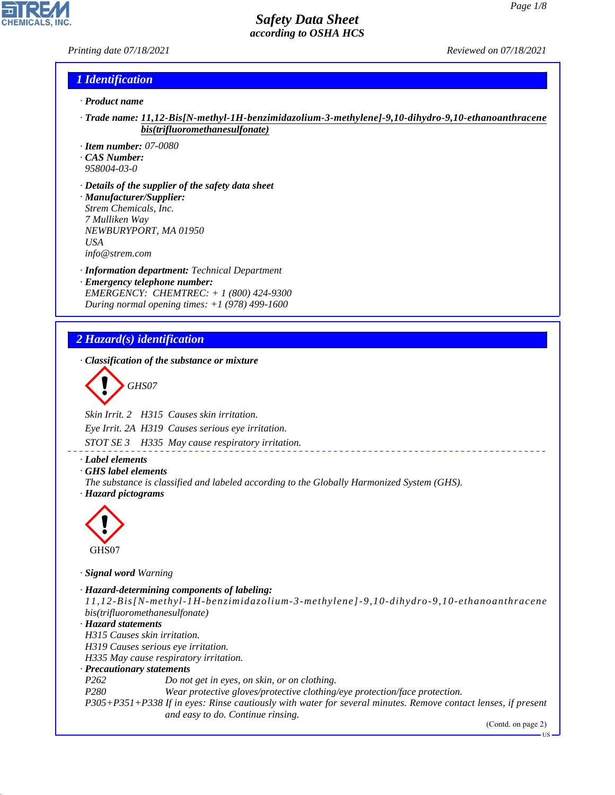#### *Printing date 07/18/2021 Reviewed on 07/18/2021*

#### *1 Identification*

- *· Product name*
- *· Trade name: 11,12-Bis[N-methyl-1H-benzimidazolium-3-methylene]-9,10-dihydro-9,10-ethanoanthracene bis(trifluoromethanesulfonate)*
- *· Item number: 07-0080*
- *· CAS Number:*
- *958004-03-0*
- *· Details of the supplier of the safety data sheet · Manufacturer/Supplier: Strem Chemicals, Inc. 7 Mulliken Way NEWBURYPORT, MA 01950 USA info@strem.com*
- *· Information department: Technical Department · Emergency telephone number: EMERGENCY: CHEMTREC: + 1 (800) 424-9300*
- *During normal opening times: +1 (978) 499-1600*

### *2 Hazard(s) identification*

*· Classification of the substance or mixture*

$$
\bigotimes \mathrm{GH}S07
$$

*Skin Irrit. 2 H315 Causes skin irritation.*

*Eye Irrit. 2A H319 Causes serious eye irritation.*

*STOT SE 3 H335 May cause respiratory irritation.*

#### *· Label elements*

*· GHS label elements*

*The substance is classified and labeled according to the Globally Harmonized System (GHS).*





44.1.1

*· Signal word Warning*

```
· Hazard-determining components of labeling:
 11,12-Bis[N-methyl-1H-benzimidazolium-3-methylene]-9,10-dihydro-9,10-ethanoanthracene
bis(trifluoromethanesulfonate)
· Hazard statements
H315 Causes skin irritation.
H319 Causes serious eye irritation.
H335 May cause respiratory irritation.
· Precautionary statements
P262 Do not get in eyes, on skin, or on clothing.
P280 Wear protective gloves/protective clothing/eye protection/face protection.
P305+P351+P338 If in eyes: Rinse cautiously with water for several minutes. Remove contact lenses, if present
                  and easy to do. Continue rinsing.
```
(Contd. on page 2)

US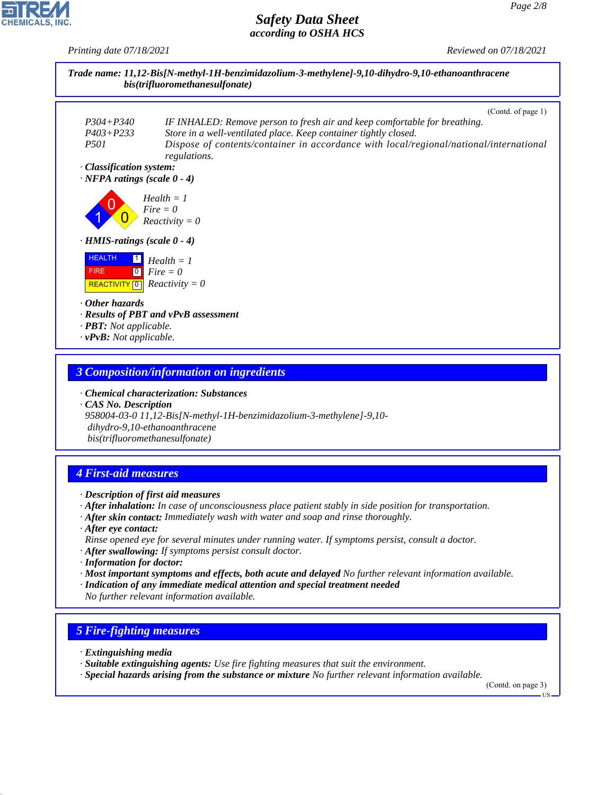*Printing date 07/18/2021 Reviewed on 07/18/2021*



#### *3 Composition/information on ingredients*

*· Chemical characterization: Substances · CAS No. Description*

*958004-03-0 11,12-Bis[N-methyl-1H-benzimidazolium-3-methylene]-9,10 dihydro-9,10-ethanoanthracene bis(trifluoromethanesulfonate)*

# *4 First-aid measures*

- *· Description of first aid measures*
- *· After inhalation: In case of unconsciousness place patient stably in side position for transportation.*
- *· After skin contact: Immediately wash with water and soap and rinse thoroughly.*
- *· After eye contact: Rinse opened eye for several minutes under running water. If symptoms persist, consult a doctor.*
- *· After swallowing: If symptoms persist consult doctor.*
- *· Information for doctor:*
- *· Most important symptoms and effects, both acute and delayed No further relevant information available.*
- *· Indication of any immediate medical attention and special treatment needed No further relevant information available.*

#### *5 Fire-fighting measures*

*· Extinguishing media*

44.1.1

- *· Suitable extinguishing agents: Use fire fighting measures that suit the environment.*
- *· Special hazards arising from the substance or mixture No further relevant information available.*

(Contd. on page 3)

US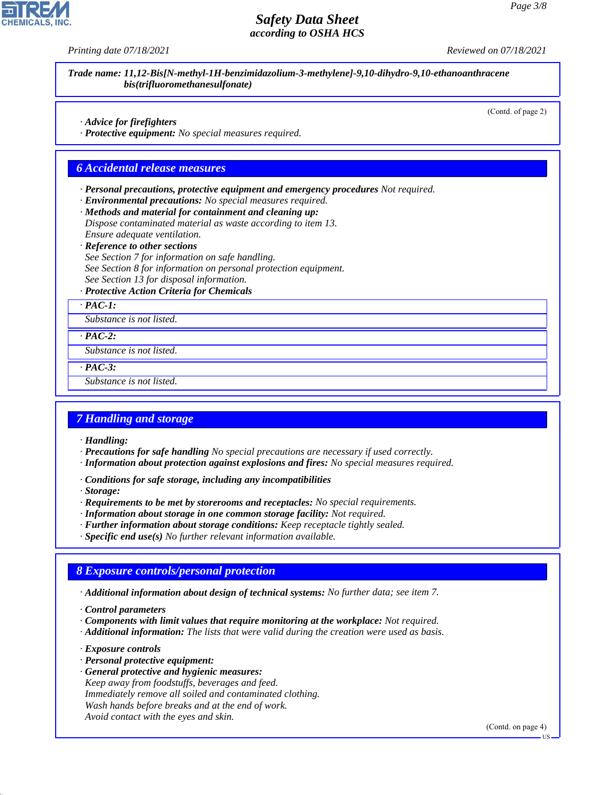|  |  | Printing date 07/18/2021 |
|--|--|--------------------------|
|--|--|--------------------------|

*Printing date 07/18/2021 Reviewed on 07/18/2021*

*Trade name: 11,12-Bis[N-methyl-1H-benzimidazolium-3-methylene]-9,10-dihydro-9,10-ethanoanthracene bis(trifluoromethanesulfonate)*

(Contd. of page 2)

- *· Advice for firefighters*
- *· Protective equipment: No special measures required.*

#### *6 Accidental release measures*

- *· Personal precautions, protective equipment and emergency procedures Not required.*
- *· Environmental precautions: No special measures required.*
- *· Methods and material for containment and cleaning up:*
- *Dispose contaminated material as waste according to item 13. Ensure adequate ventilation.*
- *· Reference to other sections*
- *See Section 7 for information on safe handling. See Section 8 for information on personal protection equipment. See Section 13 for disposal information.*
- *· Protective Action Criteria for Chemicals*
- *· PAC-1:*

*Substance is not listed.*

*· PAC-2:*

*Substance is not listed.*

*· PAC-3:*

*Substance is not listed.*

#### *7 Handling and storage*

- *· Handling:*
- *· Precautions for safe handling No special precautions are necessary if used correctly.*
- *· Information about protection against explosions and fires: No special measures required.*
- *· Conditions for safe storage, including any incompatibilities*
- *· Storage:*
- *· Requirements to be met by storerooms and receptacles: No special requirements.*
- *· Information about storage in one common storage facility: Not required.*
- *· Further information about storage conditions: Keep receptacle tightly sealed.*
- *· Specific end use(s) No further relevant information available.*

#### *8 Exposure controls/personal protection*

- *· Additional information about design of technical systems: No further data; see item 7.*
- *· Control parameters*
- *· Components with limit values that require monitoring at the workplace: Not required.*
- *· Additional information: The lists that were valid during the creation were used as basis.*
- *· Exposure controls*

44.1.1

- *· Personal protective equipment:*
- *· General protective and hygienic measures: Keep away from foodstuffs, beverages and feed. Immediately remove all soiled and contaminated clothing. Wash hands before breaks and at the end of work. Avoid contact with the eyes and skin.*

(Contd. on page 4)

US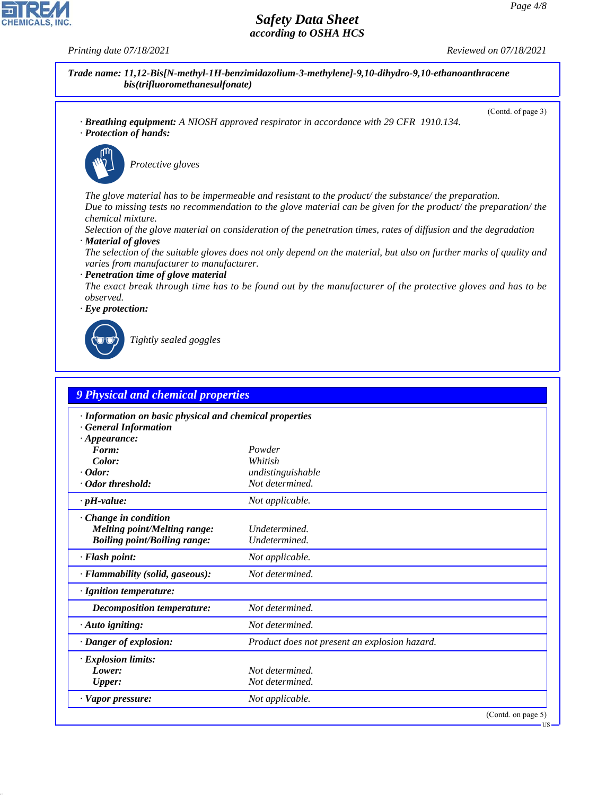**CHEMICALS, INC** 

*Printing date 07/18/2021 Reviewed on 07/18/2021*

(Contd. of page 3)

*Trade name: 11,12-Bis[N-methyl-1H-benzimidazolium-3-methylene]-9,10-dihydro-9,10-ethanoanthracene bis(trifluoromethanesulfonate)*

*· Breathing equipment: A NIOSH approved respirator in accordance with 29 CFR 1910.134. · Protection of hands:*



\_S*Protective gloves*

*The glove material has to be impermeable and resistant to the product/ the substance/ the preparation. Due to missing tests no recommendation to the glove material can be given for the product/ the preparation/ the chemical mixture.*

*Selection of the glove material on consideration of the penetration times, rates of diffusion and the degradation · Material of gloves*

*The selection of the suitable gloves does not only depend on the material, but also on further marks of quality and varies from manufacturer to manufacturer.*

*· Penetration time of glove material*

*The exact break through time has to be found out by the manufacturer of the protective gloves and has to be observed.*

*· Eye protection:*



44.1.1

\_R*Tightly sealed goggles*

| · Information on basic physical and chemical properties |                                               |  |
|---------------------------------------------------------|-----------------------------------------------|--|
| <b>General Information</b>                              |                                               |  |
| $\cdot$ Appearance:                                     |                                               |  |
| Form:                                                   | Powder                                        |  |
| Color:<br>$\cdot$ Odor:                                 | Whitish                                       |  |
| · Odor threshold:                                       | undistinguishable<br>Not determined.          |  |
|                                                         |                                               |  |
| $\cdot$ pH-value:                                       | Not applicable.                               |  |
| Change in condition                                     |                                               |  |
| <b>Melting point/Melting range:</b>                     | Undetermined.                                 |  |
| <b>Boiling point/Boiling range:</b>                     | Undetermined.                                 |  |
| · Flash point:                                          | Not applicable.                               |  |
| · Flammability (solid, gaseous):                        | Not determined.                               |  |
| · Ignition temperature:                                 |                                               |  |
| <b>Decomposition temperature:</b>                       | Not determined.                               |  |
| · Auto igniting:                                        | Not determined.                               |  |
| · Danger of explosion:                                  | Product does not present an explosion hazard. |  |
| $\cdot$ Explosion limits:                               |                                               |  |
| Lower:                                                  | Not determined.                               |  |
| <b>Upper:</b>                                           | Not determined.                               |  |
| · Vapor pressure:                                       | Not applicable.                               |  |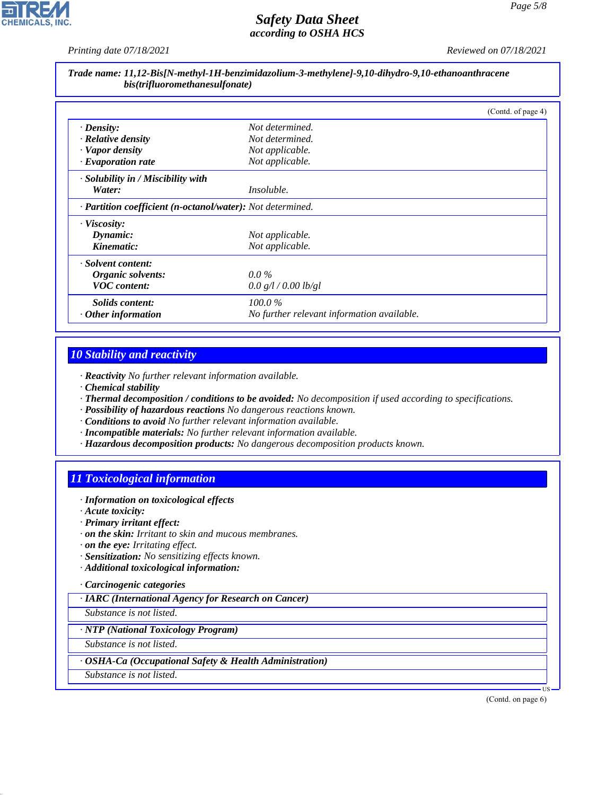*Printing date 07/18/2021 Reviewed on 07/18/2021*

## *Trade name: 11,12-Bis[N-methyl-1H-benzimidazolium-3-methylene]-9,10-dihydro-9,10-ethanoanthracene bis(trifluoromethanesulfonate)*

|                                                            |                                            | (Contd. of page 4) |
|------------------------------------------------------------|--------------------------------------------|--------------------|
| $\cdot$ Density:                                           | Not determined.                            |                    |
| $\cdot$ Relative density                                   | Not determined.                            |                    |
| · Vapor density                                            | Not applicable.                            |                    |
| $\cdot$ Evaporation rate                                   | Not applicable.                            |                    |
| · Solubility in / Miscibility with                         |                                            |                    |
| Water:                                                     | <i>Insoluble.</i>                          |                    |
| · Partition coefficient (n-octanol/water): Not determined. |                                            |                    |
| $\cdot$ Viscosity:                                         |                                            |                    |
| Dynamic:                                                   | Not applicable.                            |                    |
| Kinematic:                                                 | Not applicable.                            |                    |
| · Solvent content:                                         |                                            |                    |
| Organic solvents:                                          | $0.0\%$                                    |                    |
| <b>VOC</b> content:                                        | 0.0 g/l / 0.00 lb/gl                       |                    |
| <i>Solids content:</i>                                     | $100.0\%$                                  |                    |
| $\cdot$ Other information                                  | No further relevant information available. |                    |

### *10 Stability and reactivity*

*· Reactivity No further relevant information available.*

- *· Chemical stability*
- *· Thermal decomposition / conditions to be avoided: No decomposition if used according to specifications.*
- *· Possibility of hazardous reactions No dangerous reactions known.*
- *· Conditions to avoid No further relevant information available.*
- *· Incompatible materials: No further relevant information available.*
- *· Hazardous decomposition products: No dangerous decomposition products known.*

# *11 Toxicological information*

- *· Information on toxicological effects*
- *· Acute toxicity:*
- *· Primary irritant effect:*
- *· on the skin: Irritant to skin and mucous membranes.*
- *· on the eye: Irritating effect.*
- *· Sensitization: No sensitizing effects known.*
- *· Additional toxicological information:*

#### *· Carcinogenic categories*

*· IARC (International Agency for Research on Cancer)*

*Substance is not listed.*

#### *· NTP (National Toxicology Program)*

*Substance is not listed.*

#### *· OSHA-Ca (Occupational Safety & Health Administration)*

*Substance is not listed.*

44.1.1

(Contd. on page 6)

US

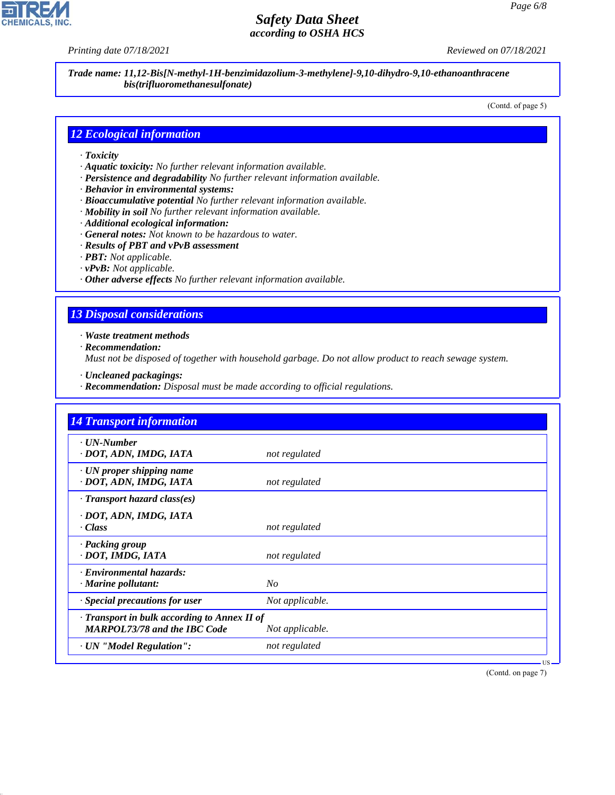**CHEMICALS, INC** 

*Printing date 07/18/2021 Reviewed on 07/18/2021*

*Trade name: 11,12-Bis[N-methyl-1H-benzimidazolium-3-methylene]-9,10-dihydro-9,10-ethanoanthracene bis(trifluoromethanesulfonate)*

(Contd. of page 5)

#### *12 Ecological information*

- *· Toxicity*
- *· Aquatic toxicity: No further relevant information available.*
- *· Persistence and degradability No further relevant information available.*
- *· Behavior in environmental systems:*
- *· Bioaccumulative potential No further relevant information available.*
- *· Mobility in soil No further relevant information available.*
- *· Additional ecological information:*
- *· General notes: Not known to be hazardous to water.*
- *· Results of PBT and vPvB assessment*
- *· PBT: Not applicable.*
- *· vPvB: Not applicable.*
- *· Other adverse effects No further relevant information available.*

# *13 Disposal considerations*

*· Waste treatment methods*

*· Recommendation:*

44.1.1

*Must not be disposed of together with household garbage. Do not allow product to reach sewage system.*

- *· Uncleaned packagings:*
- *· Recommendation: Disposal must be made according to official regulations.*

| <b>14 Transport information</b>                                                     |                 |
|-------------------------------------------------------------------------------------|-----------------|
| · UN-Number<br>· DOT, ADN, IMDG, IATA                                               | not regulated   |
| $\cdot$ UN proper shipping name<br>· DOT, ADN, IMDG, IATA                           | not regulated   |
| $\cdot$ Transport hazard class(es)                                                  |                 |
| · DOT, ADN, IMDG, IATA<br>· Class                                                   | not regulated   |
| · Packing group<br>· DOT, IMDG, IATA                                                | not regulated   |
| · Environmental hazards:<br>· Marine pollutant:                                     | N <sub>O</sub>  |
| · Special precautions for user                                                      | Not applicable. |
| · Transport in bulk according to Annex II of<br><b>MARPOL73/78 and the IBC Code</b> | Not applicable. |
| · UN "Model Regulation":                                                            | not regulated   |

(Contd. on page 7)

US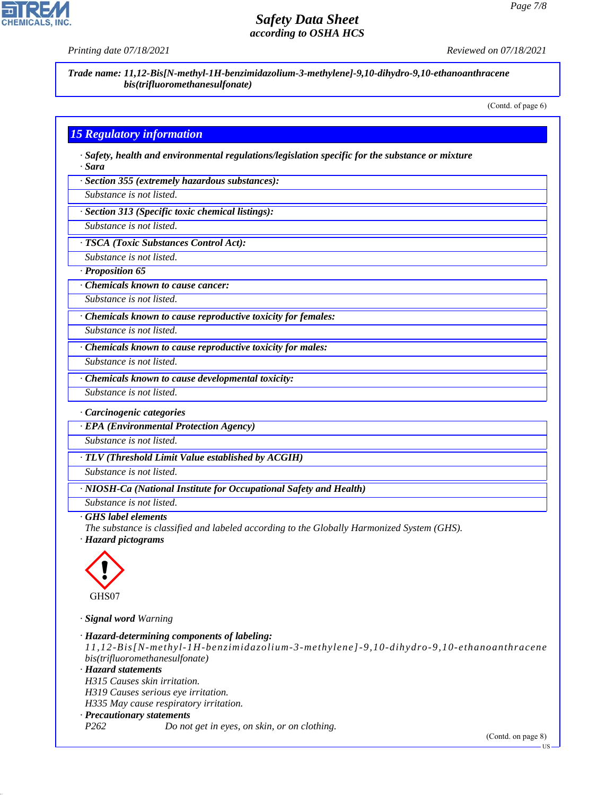

**CHEMICALS** 

*Trade name: 11,12-Bis[N-methyl-1H-benzimidazolium-3-methylene]-9,10-dihydro-9,10-ethanoanthracene bis(trifluoromethanesulfonate)*

(Contd. of page 6)

## *15 Regulatory information*

*· Safety, health and environmental regulations/legislation specific for the substance or mixture · Sara*

*· Section 355 (extremely hazardous substances):*

*Substance is not listed.*

*· Section 313 (Specific toxic chemical listings):*

*Substance is not listed.*

*· TSCA (Toxic Substances Control Act):*

*Substance is not listed.*

*· Proposition 65*

*· Chemicals known to cause cancer:*

*Substance is not listed.*

*· Chemicals known to cause reproductive toxicity for females:*

*Substance is not listed.*

*Substance is not listed.*

*· Chemicals known to cause reproductive toxicity for males:*

*· Chemicals known to cause developmental toxicity:*

*Substance is not listed.*

*· Carcinogenic categories*

*· EPA (Environmental Protection Agency)*

*Substance is not listed.*

*· TLV (Threshold Limit Value established by ACGIH)*

*Substance is not listed.*

*· NIOSH-Ca (National Institute for Occupational Safety and Health)*

*Substance is not listed.*

#### *· GHS label elements*

*The substance is classified and labeled according to the Globally Harmonized System (GHS).*

*· Hazard pictograms*



44.1.1

*· Signal word Warning*

*· Hazard-determining components of labeling: 11,12-Bis[N-methyl-1H-benzimidazolium-3-methylene]-9,10-dihydro-9,10-ethanoanthracene bis(trifluoromethanesulfonate) · Hazard statements H315 Causes skin irritation. H319 Causes serious eye irritation. H335 May cause respiratory irritation. · Precautionary statements P262 Do not get in eyes, on skin, or on clothing.* (Contd. on page 8)